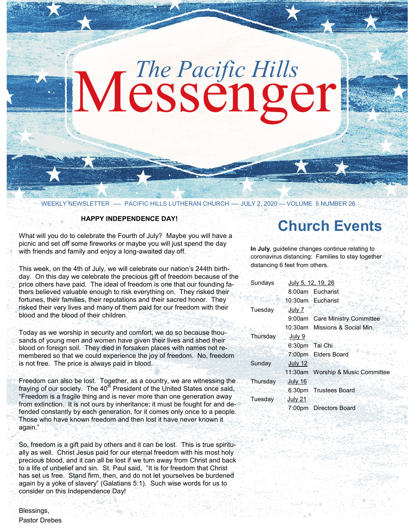# Messenger *The Pacific Hills*

WEEKLY NEWSLETTER —- PACIFIC HILLS LUTHERAN CHURCH —- JULY 2, 2020 — VOLUME 5 NUMBER 26

#### **HAPPY INDEPENDENCE DAY!**

What will you do to celebrate the Fourth of July? Maybe you will have a picnic and set off some fireworks or maybe you will just spend the day with friends and family and enjoy a long-awaited day off.

This week, on the 4th of July, we will celebrate our nation's 244th birthday. On this day we celebrate the precious gift of freedom because of the price others have paid. The ideal of freedom is one that our founding fathers believed valuable enough to risk everything on. They risked their fortunes, their families, their reputations and their sacred honor. They risked their very lives and many of them paid for our freedom with their blood and the blood of their children.

Today as we worship in security and comfort, we do so because thousands of young men and women have given their lives and shed their blood on foreign soil. They died in forsaken places with names not remembered so that we could experience the joy of freedom. No, freedom is not free. The price is always paid in blood.

Freedom can also be lost. Together, as a country, we are witnessing the fraying of our society. The 40<sup>th</sup> President of the United States once said, "Freedom is a fragile thing and is never more than one generation away from extinction. It is not ours by inheritance; it must be fought for and defended constantly by each generation, for it comes only once to a people. Those who have known freedom and then lost it have never known it again."

So, freedom is a gift paid by others and it can be lost. This is true spiritually as well. Christ Jesus paid for our eternal freedom with his most holy precious blood, and it can all be lost if we turn away from Christ and back to a life of unbelief and sin. St. Paul said, "It is for freedom that Christ has set us free. Stand firm, then, and do not let yourselves be burdened again by a yoke of slavery" (Galatians 5:1). Such wise words for us to consider on this Independence Day!

## **Church Events**

**In July**, guideline changes continue relating to coronavirus distancing: Families to stay together distancing 6 feet from others.

| Sundays  | July 5, 12, 19, 26 |                                   |
|----------|--------------------|-----------------------------------|
|          |                    | 8:00am Eucharist                  |
|          |                    | 10:30am Eucharist                 |
| Tuesday  | July 7             |                                   |
|          |                    | 9:00am Care Ministry Committee    |
|          |                    | 10:30am Missions & Social Min.    |
| Thursday | July 9             |                                   |
|          | 6:30pm Tai Chi     |                                   |
|          |                    | 7:00pm Elders Board               |
| Sunday   | July 12            |                                   |
|          |                    | 11:30am Worship & Music Committee |
| Thursday | July 16            |                                   |
|          |                    | 6:30pm Trustees Board             |
| Tuesday  | July 21            |                                   |
|          |                    | 7:00pm Directors Board            |
|          |                    |                                   |

Blessings, Pastor Drebes